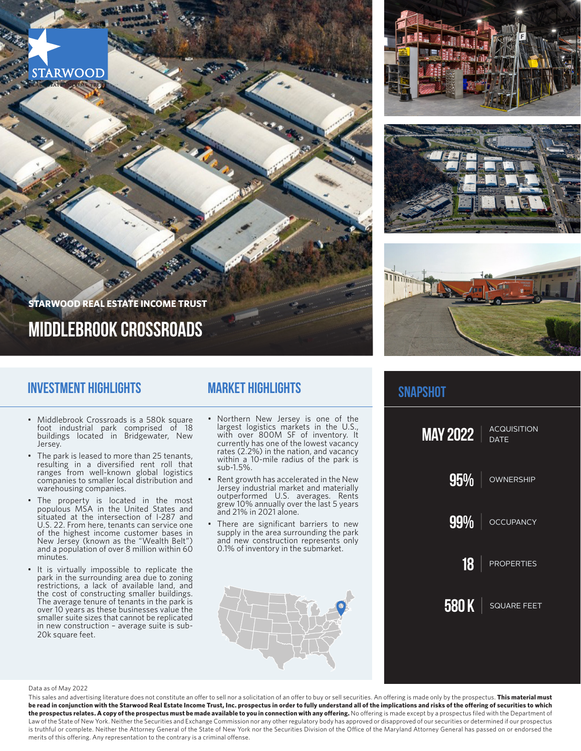





# **snapshot**



# **middlebrook crossroads**

**STARWOOD REAL ESTATE INCOME TRUST**

### **Investment Highlights**

**STARWOOD** 

- Middlebrook Crossroads is a 580k square foot industrial park comprised of 18 buildings located in Bridgewater, New Jersey.
- The park is leased to more than 25 tenants, resulting in a diversified rent roll that ranges from well-known global logistics companies to smaller local distribution and warehousing companies.
- The property is located in the most populous MSA in the United States and situated at the intersection of I-287 and U.S. 22. From here, tenants can service one of the highest income customer bases in New Jersey (known as the "Wealth Belt") and a population of over 8 million within 60 minutes.
- It is virtually impossible to replicate the park in the surrounding area due to zoning restrictions, a lack of available land, and the cost of constructing smaller buildings. The average tenure of tenants in the park is over 10 years as these businesses value the smaller suite sizes that cannot be replicated in new construction – average suite is sub-20k square feet.

### **Market Highlights**

- Northern New Jersey is one of the largest logistics markets in the U.S., with over 800M SF of inventory. It currently has one of the lowest vacancy rates (2.2%) in the nation, and vacancy within a 10-mile radius of the park is sub-1.5%.
- Rent growth has accelerated in the New Jersey industrial market and materially outperformed U.S. averages. Rents grew 10% annually over the last 5 years and 21% in 2021 alone.
- There are significant barriers to new supply in the area surrounding the park and new construction represents only 0.1% of inventory in the submarket.



#### Data as of May 2022

This sales and advertising literature does not constitute an offer to sell nor a solicitation of an offer to buy or sell securities. An offering is made only by the prospectus. **This material must be read in conjunction with the Starwood Real Estate Income Trust, Inc. prospectus in order to fully understand all of the implications and risks of the offering of securities to which**  the prospectus relates. A copy of the prospectus must be made available to you in connection with any offering. No offering is made except by a prospectus filed with the Department of Law of the State of New York. Neither the Securities and Exchange Commission nor any other regulatory body has approved or disapproved of our securities or determined if our prospectus is truthful or complete. Neither the Attorney General of the State of New York nor the Securities Division of the Office of the Maryland Attorney General has passed on or endorsed the merits of this offering. Any representation to the contrary is a criminal offense.